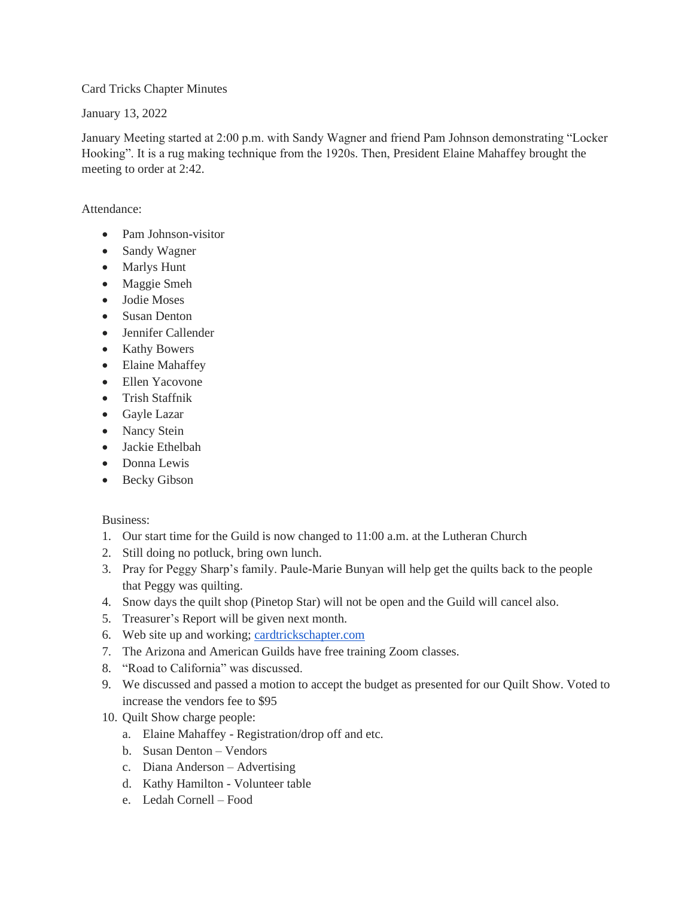Card Tricks Chapter Minutes

January 13, 2022

January Meeting started at 2:00 p.m. with Sandy Wagner and friend Pam Johnson demonstrating "Locker Hooking". It is a rug making technique from the 1920s. Then, President Elaine Mahaffey brought the meeting to order at 2:42.

Attendance:

- Pam Johnson-visitor
- Sandy Wagner
- Marlys Hunt
- Maggie Smeh
- Jodie Moses
- Susan Denton
- Jennifer Callender
- Kathy Bowers
- Elaine Mahaffey
- Ellen Yacovone
- Trish Staffnik
- Gayle Lazar
- Nancy Stein
- Jackie Ethelbah
- Donna Lewis
- Becky Gibson

Business:

- 1. Our start time for the Guild is now changed to 11:00 a.m. at the Lutheran Church
- 2. Still doing no potluck, bring own lunch.
- 3. Pray for Peggy Sharp's family. Paule-Marie Bunyan will help get the quilts back to the people that Peggy was quilting.
- 4. Snow days the quilt shop (Pinetop Star) will not be open and the Guild will cancel also.
- 5. Treasurer's Report will be given next month.
- 6. Web site up and working; [cardtrickschapter.com](http://cardtrickschapter.com/)
- 7. The Arizona and American Guilds have free training Zoom classes.
- 8. "Road to California" was discussed.
- 9. We discussed and passed a motion to accept the budget as presented for our Quilt Show. Voted to increase the vendors fee to \$95
- 10. Quilt Show charge people:
	- a. Elaine Mahaffey Registration/drop off and etc.
	- b. Susan Denton Vendors
	- c. Diana Anderson Advertising
	- d. Kathy Hamilton Volunteer table
	- e. Ledah Cornell Food